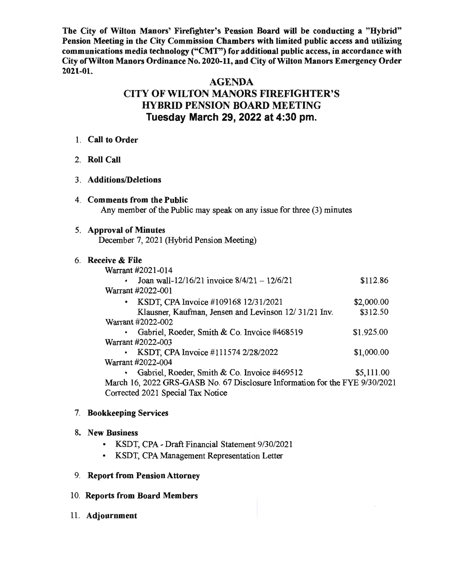The City of Wilton Manors' Firefighter's Pension Board will be conducting a "Hybrid" Pension Meeting in the City Commission Chambers with limited public access and utilizing communications media technology ("CMT") for additional public access, in accordance with City of Wilton Manors Ordinance No. 2020-11, and City of Wilton Manors Emergency Order 2021-01.

## **AGENDA** CITY OF WILTON MANORS FIREFIGHTER'S HYBRID PENSION BOARD MEETING Tuesday March 29, 2022 at 4:30 pm.

### 1. Call to Order

- 2. Roll Call
- 3. Additions/Deletions
- 4. Comments from the Public Any member of the Public may speak on any issue for three (3) minutes

### 5. Approval of Minutes

December 7, 2021 (Hybrid Pension Meeting)

### 6. Receive & File

| Warrant #2021-014                                                           |            |  |
|-----------------------------------------------------------------------------|------------|--|
| Joan wall-12/16/21 invoice $8/4/21 - 12/6/21$<br>$\bullet$                  | \$112.86   |  |
| Warrant #2022-001                                                           |            |  |
| • KSDT, CPA Invoice #109168 12/31/2021                                      | \$2,000.00 |  |
| Klausner, Kaufman, Jensen and Levinson 12/31/21 Inv.                        | \$312.50   |  |
| Warrant #2022-002                                                           |            |  |
| Gabriel, Roeder, Smith & Co. Invoice #468519                                | \$1.925.00 |  |
| <b>Warrant #2022-003</b>                                                    |            |  |
| • KSDT, CPA Invoice #111574 2/28/2022                                       | \$1,000.00 |  |
| Warrant #2022-004                                                           |            |  |
| Gabriel, Roeder, Smith & Co. Invoice #469512                                | \$5,111.00 |  |
| March 16, 2022 GRS-GASB No. 67 Disclosure Information for the FYE 9/30/2021 |            |  |
| Corrected 2021 Special Tax Notice                                           |            |  |
|                                                                             |            |  |

### 7. Bookkeeping Services

### 8. New Business

- KSDT, CPA- Draft Financial Statement 9/30/2021
- KSDT, CPA Management Representation Letter

### 9. Report from Pension Attorney

### 10. Reports from Board Members

11. Adjournment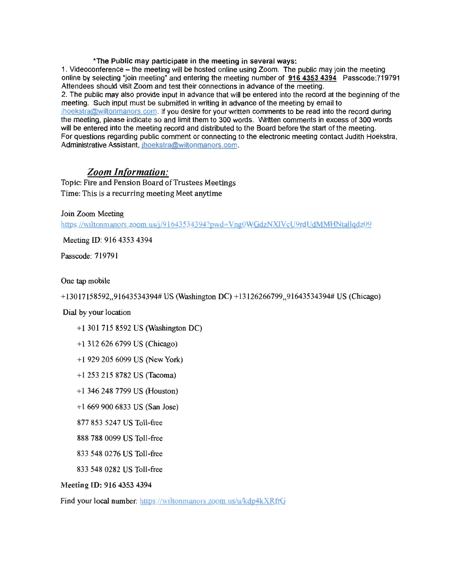### \*The Public may participate in the meeting in several ways:

1. Videoconference - the meeting will be hosted online using Zoom. The public may join the meeting online by selecting "join meeting" and entering the meeting number of 916 4353 4394 Passcode:719791 Attendees should visit Zoom and test their connections in advance of the meeting. 2. The public may also provide input in advance that will be entered into the record at the beginning of the meeting. Such input must be submitted in writing in advance of the meeting by email to ihoekstra@wiltonmanors.com. If you desire for your written comments to be read into the record during

the meeting, please indicate so and limit them to 300 words. Written comments in excess of 300 words will be entered into the meeting record and distributed to the Board before the start of the meeting. For questions regarding public comment or connecting to the electronic meeting contact Judith Hoekstra, Administrative Assistant, jhoekstra@wiltonmanors.com.

### *Zoom Information:*

Topic: Fire and Pension Board of Trustees Meetings Time: This is a recurring meeting Meet anytime

### Join Zoom Meeting

https://wiltonmanors.zoom.us/j/91643534394?pwd=Vng0WGdzNXIVcU9rdUdMMHNtallqdz09

Meeting ID: 916 4353 4394

Passcode: 719791

One tap mobile

+13017158592,91643534394# US (Washington DC) +13126266799, 91643534394# US (Chicago)

### Dial by your location

- +1 301 715 8592 US (Washington DC)
- $+1$  312 626 6799 US (Chicago)
- +1 929 205 6099 US (New York)
- +1 253 215 8782 US (Tacoma)
- + 1 346 248 7799 US (Houston)
- +1 669 900 6833 US (San Jose)
- 877 853 5247 US Toll-free
- 888 788 0099 US Toll-free
- 833 548 0276 US Toll-free
- 833 548 0282 US Toll-free

### Meeting ID: 916 4353 4394

Find your local number. https://wiltonmanors.zoom.us/u/kdp4kXRfrG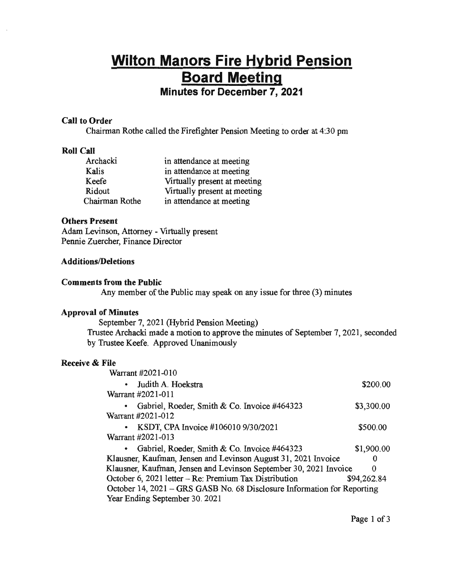# **Wilton Manors Fire Hybrid Pension Board Meeting Minutes for December 7, 2021**

### **Call to Order**

Chairman Rothe called the Firefighter Pension Meeting to order at 4:30 pm

### **Roll Call**

| Archacki       | in attendance at meeting     |
|----------------|------------------------------|
| Kalis          | in attendance at meeting     |
| Keefe          | Virtually present at meeting |
| Ridout         | Virtually present at meeting |
| Chairman Rothe | in attendance at meeting     |

### **Others Present**

Adam Levinson, Attorney - Virtually present Pennie Zuercher, Finance Director

### **Additions/Deletions**

### **Comments from the Public**

Any member of the Public may speak on any issue for three (3) minutes

### **Approval of Minutes**

September 7, 2021 (Hybrid Pension Meeting) Trustee Archacki made a motion to approve the minutes of September 7, 2021, seconded by Trustee Keefe. Approved Unanimously

### **Receive & File**

| Warrant #2021-010                                                       |             |
|-------------------------------------------------------------------------|-------------|
| Judith A. Hoekstra<br>$\bullet$                                         | \$200.00    |
| Warrant #2021-011                                                       |             |
| Gabriel, Roeder, Smith & Co. Invoice #464323                            | \$3,300.00  |
| Warrant #2021-012                                                       |             |
| • KSDT, CPA Invoice #106010 9/30/2021                                   | \$500.00    |
| Warrant #2021-013                                                       |             |
| Gabriel, Roeder, Smith & Co. Invoice #464323                            | \$1,900.00  |
| Klausner, Kaufman, Jensen and Levinson August 31, 2021 Invoice          |             |
| Klausner, Kaufman, Jensen and Levinson September 30, 2021 Invoice       | 0           |
| October 6, 2021 letter – Re: Premium Tax Distribution                   | \$94,262.84 |
| October 14, 2021 – GRS GASB No. 68 Disclosure Information for Reporting |             |
| Year Ending September 30. 2021                                          |             |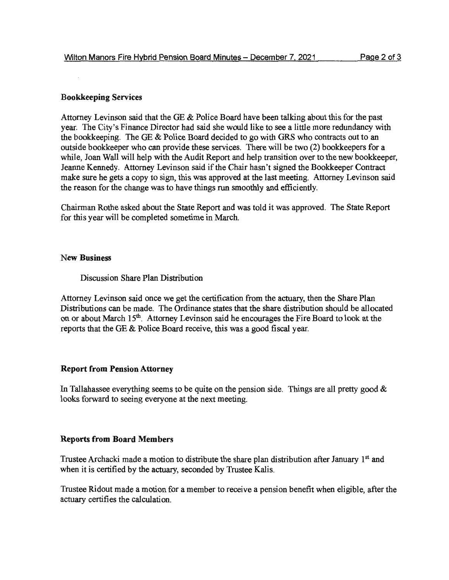### Bookkeeping Services

Attorney Levinson said that the GE & Police Board have been talking about this for the past year. The City's Finance Director had said she would like to see a little more redundancy with the bookkeeping. The GE & Police Board decided to go with GRS who contracts out to an outside bookkeeper who can provide these services. There will be two (2) bookkeepers for a while, Joan Wall will help with the Audit Report and help transition over to the new bookkeeper, Jeanne Kennedy. Attorney Levinson said if the Chair hasn't signed the Bookkeeper Contract make sure he gets a copy to sign, this was approved at the last meeting. Attorney Levinson said the reason for the change was to have things run smoothly and efficiently.

Chairman Rothe asked about the State Report and was told it was approved. The State Report for this year will be completed sometime in March.

### New Business

Discussion Share Plan Distribution

Attorney Levinson said once we get the certification from the actuary, then the Share Plan Distributions can be made. The Ordinance states that the share distribution should be allocated on or about March  $15<sup>th</sup>$ . Attorney Levinson said he encourages the Fire Board to look at the reports that the GE & Police Board receive, this was a good fiscal year.

### Report from Pension Attorney

In Tallahassee everything seems to be quite on the pension side. Things are all pretty good  $\&$ looks forward to seeing everyone at the next meeting.

### Reports from Board Members

Trustee Archacki made a motion to distribute the share plan distribution after January 1st and when it is certified by the actuary, seconded by Trustee Kalis.

Trustee Ridout made a motion for a member to receive a pension benefit when eligible, after the actuary certifies the calculation.